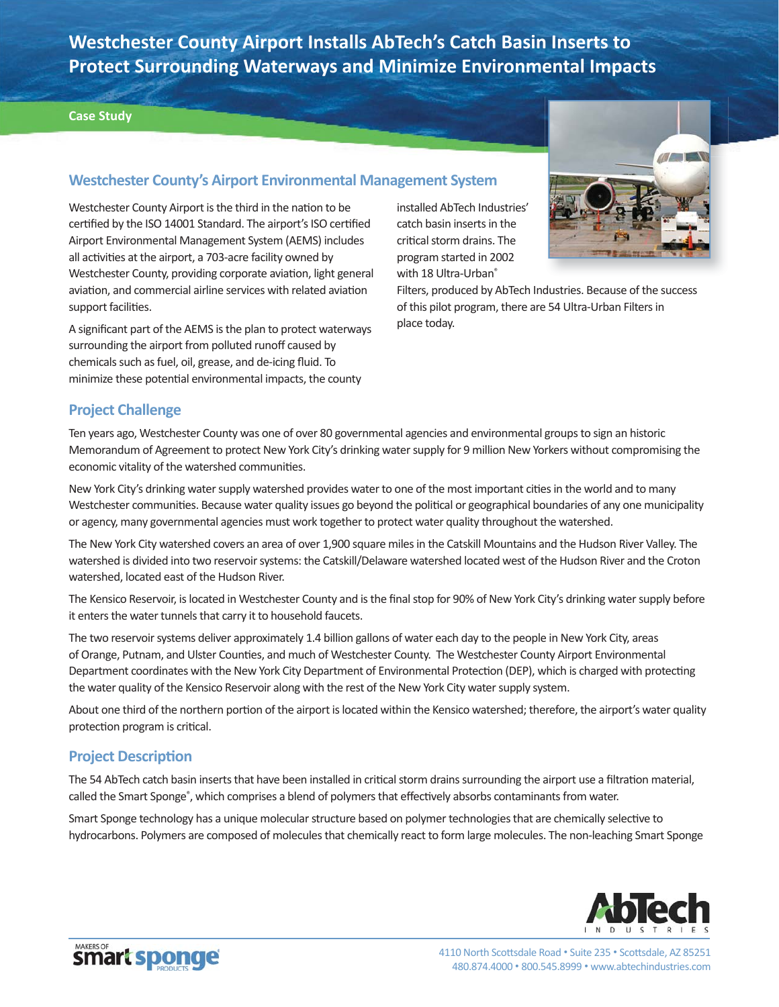**Westchester County Airport Installs AbTech's Catch Basin Inserts to Protect Surrounding Waterways and Minimize Environmental Impacts**

#### **Case Study**

## **Westchester County's Airport Environmental Management System**

Westchester County Airport is the third in the nation to be certified by the ISO 14001 Standard. The airport's ISO certified Airport Environmental Management System (AEMS) includes all activities at the airport, a 703-acre facility owned by Westchester County, providing corporate aviation, light general aviation, and commercial airline services with related aviation support facilities.

A significant part of the AEMS is the plan to protect waterways surrounding the airport from polluted runoff caused by chemicals such as fuel, oil, grease, and de-icing fluid. To minimize these potential environmental impacts, the county

installed AbTech Industries' catch basin inserts in the critical storm drains. The program started in 2002 with 18 Ultra-Urban®



Filters, produced by AbTech Industries. Because of the success of this pilot program, there are 54 Ultra-Urban Filters in place today.

## **Project Challenge**

Ten years ago, Westchester County was one of over 80 governmental agencies and environmental groups to sign an historic Memorandum of Agreement to protect New York City's drinking water supply for 9 million New Yorkers without compromising the economic vitality of the watershed communities.

New York City's drinking water supply watershed provides water to one of the most important cities in the world and to many Westchester communities. Because water quality issues go beyond the political or geographical boundaries of any one municipality or agency, many governmental agencies must work together to protect water quality throughout the watershed.

The New York City watershed covers an area of over 1,900 square miles in the Catskill Mountains and the Hudson River Valley. The watershed is divided into two reservoir systems: the Catskill/Delaware watershed located west of the Hudson River and the Croton watershed, located east of the Hudson River.

The Kensico Reservoir, is located in Westchester County and is the final stop for 90% of New York City's drinking water supply before it enters the water tunnels that carry it to household faucets.

The two reservoir systems deliver approximately 1.4 billion gallons of water each day to the people in New York City, areas of Orange, Putnam, and Ulster Counties, and much of Westchester County. The Westchester County Airport Environmental Department coordinates with the New York City Department of Environmental Protection (DEP), which is charged with protecting the water quality of the Kensico Reservoir along with the rest of the New York City water supply system.

About one third of the northern portion of the airport is located within the Kensico watershed; therefore, the airport's water quality protection program is critical.

### **Project Description**

The 54 AbTech catch basin inserts that have been installed in critical storm drains surrounding the airport use a filtration material, called the Smart Sponge®, which comprises a blend of polymers that effectively absorbs contaminants from water.

Smart Sponge technology has a unique molecular structure based on polymer technologies that are chemically selective to hydrocarbons. Polymers are composed of molecules that chemically react to form large molecules. The non-leaching Smart Sponge